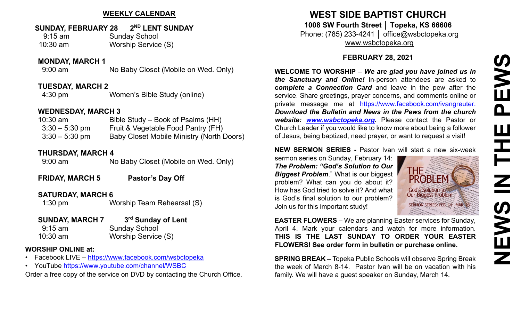## **WEEKLY CALENDAR**

## **SUNDAY, FEBRUARY 28 2ND LENT SUNDAY**

| $9:15$ am  | <b>Sunday School</b>       |
|------------|----------------------------|
| $10:30$ am | <b>Worship Service (S)</b> |

#### **MONDAY, MARCH 1**

9:00 am No Baby Closet (Mobile on Wed. Only)

### **TUESDAY, MARCH 2**

4:30 pm Women's Bible Study (online)

### **WEDNESDAY, MARCH 3**

| $10:30$ am       | Bible Study – Book of Psalms (HH)                |
|------------------|--------------------------------------------------|
| $3:30 - 5:30$ pm | Fruit & Vegetable Food Pantry (FH)               |
| $3:30 - 5:30$ pm | <b>Baby Closet Mobile Ministry (North Doors)</b> |

### **THURSDAY, MARCH 4**

9:00 am No Baby Closet (Mobile on Wed. Only)

**FRIDAY, MARCH 5** Pastor's Day Off

### **SATURDAY, MARCH 6**

1:30 pm Worship Team Rehearsal (S)

## **SUNDAY, MARCH 7 3rd Sunday of Lent**

9:15 am Sunday School 10:30 am Worship Service (S)

### **WORSHIP ONLINE at:**

- Facebook LIVE [–](https://www.facebook.com/wsbctopeka) <https://www.facebook.com/wsbctopeka>
- YouTub[e](https://www.youtube.com/channel/WSBC) <https://www.youtube.com/channel/WSBC>

Order a free copy of the service on DVD by contacting the Church Office.

# **WEST SIDE BAPTIST CHURCH 1008 SW Fourth Street │ Topeka, KS 66606** Phone: (785) 233-4241 │ office@wsbctopeka.org [www.wsbctopeka.org](http://www.wsbctopeka.org/)

## **FEBRUARY 28, 2021**

**WELCOME TO WORSHIP –** *We are glad you have joined us in the Sanctuary and Online!* In-person attendees are asked to **c***omplete a Connection Card* and leave in the pew after the service. Share greetings, prayer concerns, and comments online or private message me at <https://www.facebook.com/ivangreuter.> *Download the Bulletin and News in the Pews from the church website: [www.wsbctopeka.org.](http://www.wsbctopeka.org/)* Please contact the Pastor or Church Leader if you would like to know more about being a follower of Jesus, being baptized, need prayer, or want to request a visit!

## **NEW SERMON SERIES -** Pastor Ivan will start a new six-week

sermon series on Sunday, February 14: *The Problem: "God's Solution to Our Biggest Problem*." What is our biggest problem? What can you do about it? How has God tried to solve it? And what is God's final solution to our problem? Join us for this important study!



**EASTER FLOWERS –** We are planning Easter services for Sunday, April 4. Mark your calendars and watch for more information. **THIS IS THE LAST SUNDAY TO ORDER YOUR EASTER FLOWERS! See order form in bulletin or purchase online.**

**SPRING BREAK –** Topeka Public Schools will observe Spring Break the week of March 8-14. Pastor Ivan will be on vacation with his family. We will have a guest speaker on Sunday, March 14.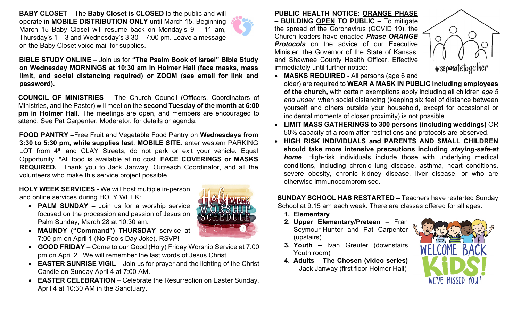**BABY CLOSET –** The **Baby Closet is CLOSED** to the public and will operate in **MOBILE DISTRIBUTION ONLY** until March 15. Beginning March 15 Baby Closet will resume back on Monday's 9 – 11 am, Thursday's 1 – 3 and Wednesday's 3:30 – 7:00 pm. Leave a message on the Baby Closet voice mail for supplies.

**BIBLE STUDY ONLINE** – Join us for **"The Psalm Book of Israel" Bible Study on Wednesday MORNINGS at 10:30 am in Holmer Hall (face masks, mass limit, and social distancing required) or ZOOM (see email for link and password).** 

**COUNCIL OF MINISTRIES –** The Church Council (Officers, Coordi[nators](https://creativecommons.org/licenses/by-nc-nd/3.0/) of Ministries, and the Pastor) will meet on the **second Tuesday of the mont[h at 6:](https://creativecommons.org/licenses/by-nc-nd/3.0/)00 pm in Holmer Hall**. The meetings are open, and members are enco[urage](https://creativecommons.org/licenses/by-nc-nd/3.0/)d to attend. See Pat Carpenter, Moderator, for details or agenda.

**FOOD PANTRY –**Free Fruit and Vegetable Food Pantry on **Wednesdays from 3:30 to 5:30 pm, while supplies last**. **MOBILE SITE**: enter western PARKING LOT from  $4<sup>th</sup>$  and CLAY Streets; do not park or exit your vehicle. Equal Opportunity. \*All food is available at no cost. **FACE COVERINGS or MASKS REQUIRED.** Thank you to Jack Janway, Outreach Coordinator, and all the volunteers who make this service project possible.

**HOLY WEEK SERVICES -** We will host multiple in-person and online services during HOLY WEEK:

- **PALM SUNDAY –** Join us for a worship service focused on the procession and passion of Jesus on Palm Sunday, March 28 at 10:30 am.
- **MAUNDY ("Command") THURSDAY** service at 7:00 pm on April 1 (No Fools Day Joke). RSVP!
- **GOOD FRIDAY** Come to our Good (Holy) Friday Worship Service at 7:00 pm on April 2. We will remember the last words of Jesus Christ.
- **EASTER SUNRISE VIGIL** Join us for prayer and the lighting of the Christ Candle on Sunday April 4 at 7:00 AM.
- **EASTER CELEBRATION**  Celebrate the Resurrection on Easter Sunday, April 4 at 10:30 AM in the Sanctuary.

**PUBLIC HEALTH NOTICE: ORANGE PHASE – BUILDING OPEN TO PUBLIC –** To mitigate the spread of the Coronavirus (COVID 19), the Church leaders have enacted *Phase ORANGE Protocols* on the advice of our Executive Minister, the Governor of the State of Kansas, and Shawnee County Health Officer. Effective immediately until further notice:



- **MASKS REQUIRED -** All persons (age 6 and older) are required to **WEAR A MASK IN PUBLIC including employees of the church,** with certain exemptions apply including all children *age 5 and under*, when social distancing (keeping six feet of distance between yourself and others outside your household, except for occasional or incidental moments of closer proximity) is not possible.
- **LIMIT MASS GATHERINGS to 300 persons (including weddings)** OR 50% capacity of a room after restrictions and protocols are observed.
- **HIGH RISK INDIVIDUALS and PARENTS AND SMALL CHILDREN should take more intensive precautions including** *staying-safe-at home*. High-risk individuals include those with underlying medical conditions, including chronic lung disease, asthma, heart conditions, severe obesity, chronic kidney disease, liver disease, or who are otherwise immunocompromised.

**SUNDAY SCHOOL HAS RESTARTED –** Teachers have restarted Sunday School at 9:15 am each week. There are classes offered for all ages:

- **1. Elementary**
- **2. Upper Elementary/Preteen**  Fran Seymour-Hunter and Pat Carpenter (upstairs)
- **3. Youth –** Ivan Greuter (downstairs Youth room)
- **4. Adults – The Chosen (video series)** 
	- **–** Jack Janway (first floor Holmer Hall)